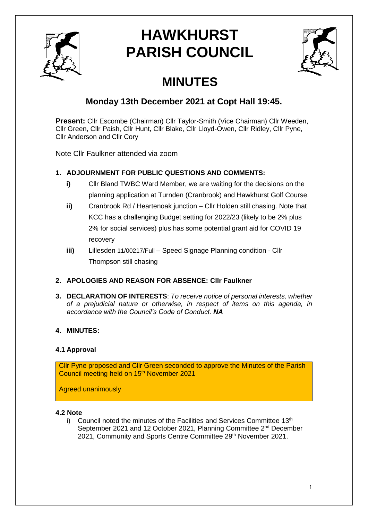

# **HAWKHURST PARISH COUNCIL**



## **MINUTES**

### **Monday 13th December 2021 at Copt Hall 19:45.**

**Present:** Cllr Escombe (Chairman) Cllr Taylor-Smith (Vice Chairman) Cllr Weeden, Cllr Green, Cllr Paish, Cllr Hunt, Cllr Blake, Cllr Lloyd-Owen, Cllr Ridley, Cllr Pyne, Cllr Anderson and Cllr Cory

Note Cllr Faulkner attended via zoom

#### **1. ADJOURNMENT FOR PUBLIC QUESTIONS AND COMMENTS:**

- **i)** Cllr Bland TWBC Ward Member, we are waiting for the decisions on the planning application at Turnden (Cranbrook) and Hawkhurst Golf Course.
- **ii)** Cranbrook Rd / Heartenoak junction Cllr Holden still chasing. Note that KCC has a challenging Budget setting for 2022/23 (likely to be 2% plus 2% for social services) plus has some potential grant aid for COVID 19 recovery
- **iii)** Lillesden 11/00217/Full Speed Signage Planning condition Cllr Thompson still chasing

#### **2. APOLOGIES AND REASON FOR ABSENCE: Cllr Faulkner**

**3. DECLARATION OF INTERESTS**: *To receive notice of personal interests, whether of a prejudicial nature or otherwise, in respect of items on this agenda, in accordance with the Council's Code of Conduct. NA*

#### **4. MINUTES:**

#### **4.1 Approval**

Cllr Pyne proposed and Cllr Green seconded to approve the Minutes of the Parish Council meeting held on 15<sup>th</sup> November 2021

Agreed unanimously

#### **4.2 Note**

i) Council noted the minutes of the Facilities and Services Committee  $13<sup>th</sup>$ September 2021 and 12 October 2021, Planning Committee 2<sup>nd</sup> December 2021, Community and Sports Centre Committee 29<sup>th</sup> November 2021.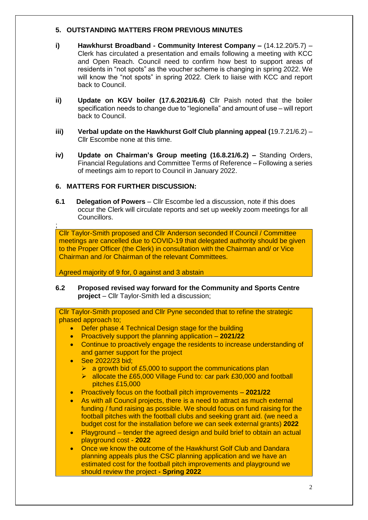#### **5. OUTSTANDING MATTERS FROM PREVIOUS MINUTES**

- **i) Hawkhurst Broadband - Community Interest Company –** (14.12.20/5.7) Clerk has circulated a presentation and emails following a meeting with KCC and Open Reach. Council need to confirm how best to support areas of residents in "not spots" as the voucher scheme is changing in spring 2022. We will know the "not spots" in spring 2022. Clerk to liaise with KCC and report back to Council.
- **ii) Update on KGV boiler (17.6.2021/6.6)** Cllr Paish noted that the boiler specification needs to change due to "legionella" and amount of use – will report back to Council.
- **iii) Verbal update on the Hawkhurst Golf Club planning appeal (**19.7.21/6.2) Cllr Escombe none at this time.
- **iv) Update on Chairman's Group meeting (16.8.21/6.2) –** Standing Orders, Financial Regulations and Committee Terms of Reference – Following a series of meetings aim to report to Council in January 2022.

#### **6. MATTERS FOR FURTHER DISCUSSION:**

**6.1 Delegation of Powers** – Cllr Escombe led a discussion, note if this does occur the Clerk will circulate reports and set up weekly zoom meetings for all Councillors.

Cllr Taylor-Smith proposed and Cllr Anderson seconded If Council / Committee meetings are cancelled due to COVID-19 that delegated authority should be given to the Proper Officer (the Clerk) in consultation with the Chairman and/ or Vice Chairman and /or Chairman of the relevant Committees.

Agreed majority of 9 for, 0 against and 3 abstain

**6.2 Proposed revised way forward for the Community and Sports Centre project** – Cllr Taylor-Smith led a discussion;

Cllr Taylor-Smith proposed and Cllr Pyne seconded that to refine the strategic phased approach to;

- Defer phase 4 Technical Design stage for the building
- Proactively support the planning application **2021/22**
- Continue to proactively engage the residents to increase understanding of and garner support for the project
- See 2022/23 bid;

;

- $\triangleright$  a growth bid of £5,000 to support the communications plan
- ▶ allocate the £65,000 Village Fund to: car park £30,000 and football pitches £15,000
- Proactively focus on the football pitch improvements **2021/22**
- As with all Council projects, there is a need to attract as much external funding / fund raising as possible. We should focus on fund raising for the football pitches with the football clubs and seeking grant aid. (we need a budget cost for the installation before we can seek external grants) **2022**
- Playground tender the agreed design and build brief to obtain an actual playground cost - **2022**
- Once we know the outcome of the Hawkhurst Golf Club and Dandara planning appeals plus the CSC planning application and we have an estimated cost for the football pitch improvements and playground we should review the project **- Spring 2022**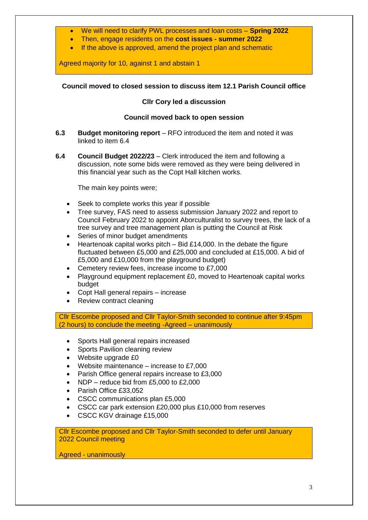- We will need to clarify PWL processes and loan costs **Spring 2022**
- Then, engage residents on the **cost issues - summer 2022**
- If the above is approved, amend the project plan and schematic

Agreed majority for 10, against 1 and abstain 1

#### **Council moved to closed session to discuss item 12.1 Parish Council office**

#### **Cllr Cory led a discussion**

#### **Council moved back to open session**

- **6.3 Budget monitoring report** RFO introduced the item and noted it was linked to item 6.4
- **6.4 Council Budget 2022/23** Clerk introduced the item and following a discussion, note some bids were removed as they were being delivered in this financial year such as the Copt Hall kitchen works.

The main key points were;

- Seek to complete works this year if possible
- Tree survey, FAS need to assess submission January 2022 and report to Council February 2022 to appoint Aborculturalist to survey trees, the lack of a tree survey and tree management plan is putting the Council at Risk
- Series of minor budget amendments
- Heartenoak capital works pitch Bid £14,000. In the debate the figure fluctuated between £5,000 and £25,000 and concluded at £15,000. A bid of £5,000 and £10,000 from the playground budget)
- Cemetery review fees, increase income to £7,000
- Playground equipment replacement £0, moved to Heartenoak capital works budget
- Copt Hall general repairs increase
- Review contract cleaning

Cllr Escombe proposed and Cllr Taylor-Smith seconded to continue after 9:45pm (2 hours) to conclude the meeting -Agreed – unanimously

- Sports Hall general repairs increased
- Sports Pavilion cleaning review
- Website upgrade £0
- Website maintenance increase to £7,000
- Parish Office general repairs increase to £3,000
- NDP reduce bid from £5,000 to £2,000
- Parish Office £33,052
- CSCC communications plan £5,000
- CSCC car park extension £20,000 plus £10,000 from reserves
- CSCC KGV drainage £15,000

Cllr Escombe proposed and Cllr Taylor-Smith seconded to defer until January 2022 Council meeting

Agreed - unanimously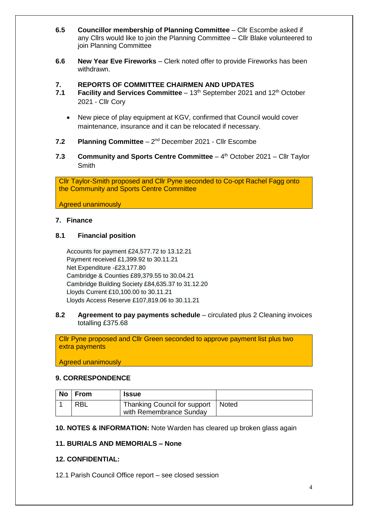- **6.5 Councillor membership of Planning Committee** Cllr Escombe asked if any Cllrs would like to join the Planning Committee – Cllr Blake volunteered to join Planning Committee
- **6.6 New Year Eve Fireworks** Clerk noted offer to provide Fireworks has been withdrawn.
- **7. REPORTS OF COMMITTEE CHAIRMEN AND UPDATES**
- 7.1 **Facility and Services Committee** 13<sup>th</sup> September 2021 and 12<sup>th</sup> October 2021 - Cllr Cory
	- New piece of play equipment at KGV, confirmed that Council would cover maintenance, insurance and it can be relocated if necessary.
- 7.2 Planning Committee 2<sup>nd</sup> December 2021 Cllr Escombe
- 7.3 **Community and Sports Centre Committee** 4<sup>th</sup> October 2021 Cllr Taylor Smith

Cllr Taylor-Smith proposed and Cllr Pyne seconded to Co-opt Rachel Fagg onto the Community and Sports Centre Committee

Agreed unanimously

#### **7. Finance**

#### **8.1 Financial position**

Accounts for payment £24,577.72 to 13.12.21 Payment received £1,399.92 to 30.11.21 Net Expenditure -£23,177.80 Cambridge & Counties £89,379.55 to 30.04.21 Cambridge Building Society £84,635.37 to 31.12.20 Lloyds Current £10,100.00 to 30.11.21 Lloyds Access Reserve £107,819.06 to 30.11.21

#### **8.2 Agreement to pay payments schedule** – circulated plus 2 Cleaning invoices totalling £375.68

Cllr Pyne proposed and Cllr Green seconded to approve payment list plus two extra payments

Agreed unanimously

#### **9. CORRESPONDENCE**

| No | ∣ From     | <b>Issue</b>                                                    |  |
|----|------------|-----------------------------------------------------------------|--|
|    | <b>RBL</b> | Thanking Council for support   Noted<br>with Remembrance Sunday |  |

#### **10. NOTES & INFORMATION:** Note Warden has cleared up broken glass again

#### **11. BURIALS AND MEMORIALS – None**

#### **12. CONFIDENTIAL:**

12.1 Parish Council Office report – see closed session